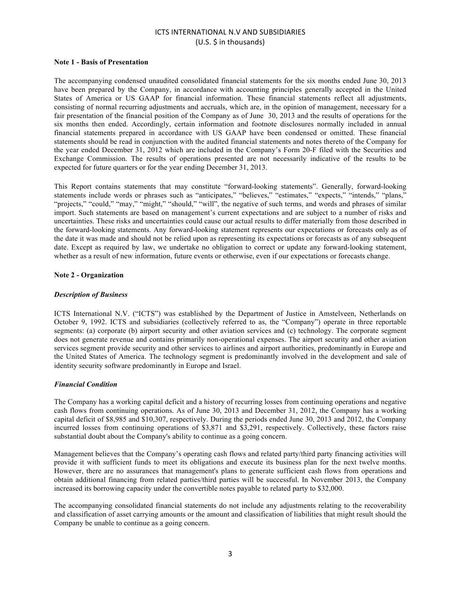## **ICTS INTERNATIONAL N.V AND SUBSIDIARIES**  $(U.S. \; \text{§} \; \text{in} \; \text{th} \; \text{and} \; \text{§}$

### **Note 1 - Basis of Presentation**

The accompanying condensed unaudited consolidated financial statements for the six months ended June 30, 2013 have been prepared by the Company, in accordance with accounting principles generally accepted in the United States of America or US GAAP for financial information. These financial statements reflect all adjustments, consisting of normal recurring adjustments and accruals, which are, in the opinion of management, necessary for a fair presentation of the financial position of the Company as of June 30, 2013 and the results of operations for the six months then ended. Accordingly, certain information and footnote disclosures normally included in annual financial statements prepared in accordance with US GAAP have been condensed or omitted. These financial statements should be read in conjunction with the audited financial statements and notes thereto of the Company for the year ended December 31, 2012 which are included in the Company's Form 20-F filed with the Securities and Exchange Commission. The results of operations presented are not necessarily indicative of the results to be expected for future quarters or for the year ending December 31, 2013.

This Report contains statements that may constitute "forward-looking statements". Generally, forward-looking statements include words or phrases such as "anticipates," "believes," "estimates," "expects," "intends," "plans," "projects," "could," "may," "might," "should," "will", the negative of such terms, and words and phrases of similar import. Such statements are based on management's current expectations and are subject to a number of risks and uncertainties. These risks and uncertainties could cause our actual results to differ materially from those described in the forward-looking statements. Any forward-looking statement represents our expectations or forecasts only as of the date it was made and should not be relied upon as representing its expectations or forecasts as of any subsequent date. Except as required by law, we undertake no obligation to correct or update any forward-looking statement, whether as a result of new information, future events or otherwise, even if our expectations or forecasts change.

## **Note 2 - Organization**

## *Description of Business*

ICTS International N.V. ("ICTS") was established by the Department of Justice in Amstelveen, Netherlands on October 9, 1992. ICTS and subsidiaries (collectively referred to as, the "Company") operate in three reportable segments: (a) corporate (b) airport security and other aviation services and (c) technology. The corporate segment does not generate revenue and contains primarily non-operational expenses. The airport security and other aviation services segment provide security and other services to airlines and airport authorities, predominantly in Europe and the United States of America. The technology segment is predominantly involved in the development and sale of identity security software predominantly in Europe and Israel.

#### *Financial Condition*

The Company has a working capital deficit and a history of recurring losses from continuing operations and negative cash flows from continuing operations. As of June 30, 2013 and December 31, 2012, the Company has a working capital deficit of \$8,985 and \$10,307, respectively. During the periods ended June 30, 2013 and 2012, the Company incurred losses from continuing operations of \$3,871 and \$3,291, respectively. Collectively, these factors raise substantial doubt about the Company's ability to continue as a going concern.

Management believes that the Company's operating cash flows and related party/third party financing activities will provide it with sufficient funds to meet its obligations and execute its business plan for the next twelve months. However, there are no assurances that management's plans to generate sufficient cash flows from operations and obtain additional financing from related parties/third parties will be successful. In November 2013, the Company increased its borrowing capacity under the convertible notes payable to related party to \$32,000.

The accompanying consolidated financial statements do not include any adjustments relating to the recoverability and classification of asset carrying amounts or the amount and classification of liabilities that might result should the Company be unable to continue as a going concern.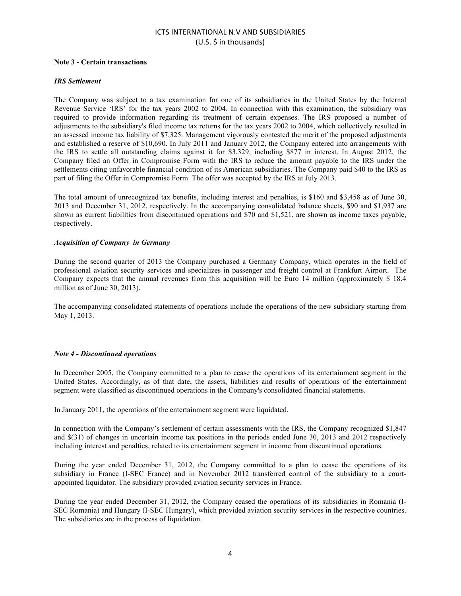# **ICTS INTERNATIONAL N.V AND SUBSIDIARIES** (U.S. \$ in thousands)

## **Note 3 - Certain transactions**

## *IRS Settlement*

The Company was subject to a tax examination for one of its subsidiaries in the United States by the Internal Revenue Service 'IRS' for the tax years 2002 to 2004. In connection with this examination, the subsidiary was required to provide information regarding its treatment of certain expenses. The IRS proposed a number of adjustments to the subsidiary's filed income tax returns for the tax years 2002 to 2004, which collectively resulted in an assessed income tax liability of \$7,325. Management vigorously contested the merit of the proposed adjustments and established a reserve of \$10,690. In July 2011 and January 2012, the Company entered into arrangements with the IRS to settle all outstanding claims against it for \$3,329, including \$877 in interest. In August 2012, the Company filed an Offer in Compromise Form with the IRS to reduce the amount payable to the IRS under the settlements citing unfavorable financial condition of its American subsidiaries. The Company paid \$40 to the IRS as part of filing the Offer in Compromise Form. The offer was accepted by the IRS at July 2013.

The total amount of unrecognized tax benefits, including interest and penalties, is \$160 and \$3,458 as of June 30, 2013 and December 31, 2012, respectively. In the accompanying consolidated balance sheets, \$90 and \$1,937 are shown as current liabilities from discontinued operations and \$70 and \$1,521, are shown as income taxes payable, respectively.

## *Acquisition of Company in Germany*

During the second quarter of 2013 the Company purchased a Germany Company, which operates in the field of professional aviation security services and specializes in passenger and freight control at Frankfurt Airport. The Company expects that the annual revenues from this acquisition will be Euro 14 million (approximately \$ 18.4 million as of June 30, 2013).

The accompanying consolidated statements of operations include the operations of the new subsidiary starting from May 1, 2013.

#### *Note 4 - Discontinued operations*

In December 2005, the Company committed to a plan to cease the operations of its entertainment segment in the United States. Accordingly, as of that date, the assets, liabilities and results of operations of the entertainment segment were classified as discontinued operations in the Company's consolidated financial statements.

In January 2011, the operations of the entertainment segment were liquidated.

In connection with the Company's settlement of certain assessments with the IRS, the Company recognized \$1,847 and \$(31) of changes in uncertain income tax positions in the periods ended June 30, 2013 and 2012 respectively including interest and penalties, related to its entertainment segment in income from discontinued operations.

During the year ended December 31, 2012, the Company committed to a plan to cease the operations of its subsidiary in France (I-SEC France) and in November 2012 transferred control of the subsidiary to a courtappointed liquidator. The subsidiary provided aviation security services in France.

During the year ended December 31, 2012, the Company ceased the operations of its subsidiaries in Romania (I-SEC Romania) and Hungary (I-SEC Hungary), which provided aviation security services in the respective countries. The subsidiaries are in the process of liquidation.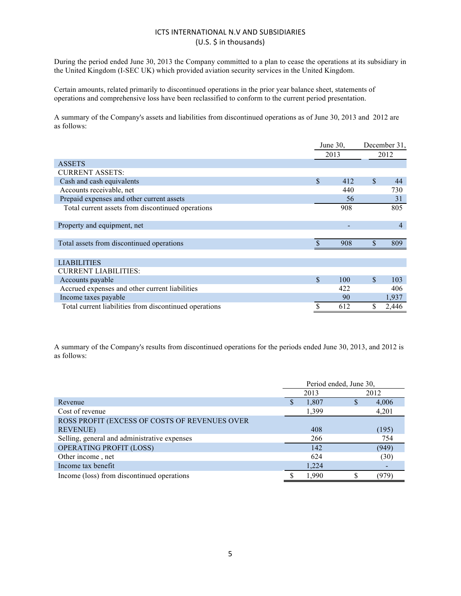# ICTS INTERNATIONAL N.V AND SUBSIDIARIES (U.S. \$ in thousands)

During the period ended June 30, 2013 the Company committed to a plan to cease the operations at its subsidiary in the United Kingdom (I-SEC UK) which provided aviation security services in the United Kingdom.

Certain amounts, related primarily to discontinued operations in the prior year balance sheet, statements of operations and comprehensive loss have been reclassified to conform to the current period presentation.

A summary of the Company's assets and liabilities from discontinued operations as of June 30, 2013 and 2012 are as follows:

|                                                        | June $30$ .        |     | December 31, |                |
|--------------------------------------------------------|--------------------|-----|--------------|----------------|
|                                                        | 2013               |     | 2012         |                |
| <b>ASSETS</b>                                          |                    |     |              |                |
| <b>CURRENT ASSETS:</b>                                 |                    |     |              |                |
| Cash and cash equivalents                              | $\mathbf S$        | 412 | $\mathbb{S}$ | 44             |
| Accounts receivable, net                               |                    | 440 |              | 730            |
| Prepaid expenses and other current assets              |                    | 56  |              | 31             |
| Total current assets from discontinued operations      |                    | 908 |              | 805            |
| Property and equipment, net                            |                    |     |              | $\overline{4}$ |
| Total assets from discontinued operations              | $\mathbf{\hat{S}}$ | 908 | $\mathbb{S}$ | 809            |
| <b>LIABILITIES</b>                                     |                    |     |              |                |
| <b>CURRENT LIABILITIES:</b>                            |                    |     |              |                |
| Accounts payable                                       | $\mathbf{s}$       | 100 | $\mathbb{S}$ | 103            |
| Accrued expenses and other current liabilities         |                    | 422 |              | 406            |
| Income taxes payable                                   |                    | 90  |              | 1,937          |
| Total current liabilities from discontinued operations |                    | 612 | \$           | 2,446          |

A summary of the Company's results from discontinued operations for the periods ended June 30, 2013, and 2012 is as follows:

|                                               | Period ended, June 30, |       |  |       |
|-----------------------------------------------|------------------------|-------|--|-------|
|                                               | 2013                   |       |  | 2012  |
| Revenue                                       |                        | 1,807 |  | 4,006 |
| Cost of revenue                               |                        | 1,399 |  | 4,201 |
| ROSS PROFIT (EXCESS OF COSTS OF REVENUES OVER |                        |       |  |       |
| <b>REVENUE)</b>                               |                        | 408   |  | (195) |
| Selling, general and administrative expenses  |                        | 266   |  | 754   |
| <b>OPERATING PROFIT (LOSS)</b>                |                        | 142   |  | (949) |
| Other income, net                             |                        | 624   |  | (30)  |
| Income tax benefit                            |                        | 1,224 |  |       |
| Income (loss) from discontinued operations    |                        | 1,990 |  | (979) |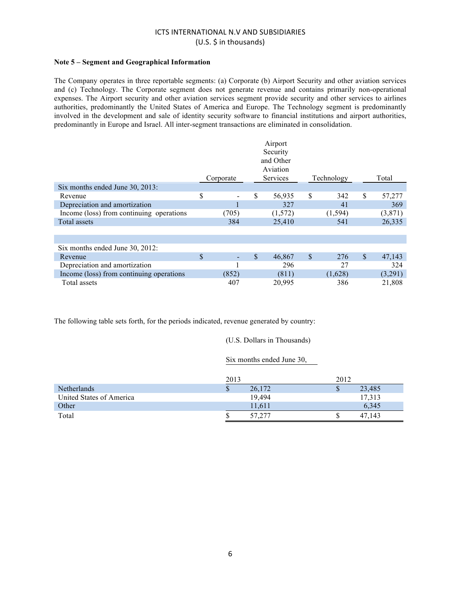## ICTS INTERNATIONAL N.V AND SUBSIDIARIES (U.S. \$ in thousands)

## **Note 5 – Segment and Geographical Information**

The Company operates in three reportable segments: (a) Corporate (b) Airport Security and other aviation services and (c) Technology. The Corporate segment does not generate revenue and contains primarily non-operational expenses. The Airport security and other aviation services segment provide security and other services to airlines authorities, predominantly the United States of America and Europe. The Technology segment is predominantly involved in the development and sale of identity security software to financial institutions and airport authorities, predominantly in Europe and Israel. All inter-segment transactions are eliminated in consolidation.

|                                          | Corporate | Airport<br>Security<br>and Other<br>Aviation<br>Services |             | Technology |               | Total    |
|------------------------------------------|-----------|----------------------------------------------------------|-------------|------------|---------------|----------|
| Six months ended June 30, 2013:          |           |                                                          |             |            |               |          |
| Revenue                                  | \$        | \$<br>56,935                                             | \$          | 342        | <sup>\$</sup> | 57,277   |
| Depreciation and amortization            |           | 327                                                      |             | 41         |               | 369      |
| Income (loss) from continuing operations | (705)     | (1,572)                                                  |             | (1, 594)   |               | (3, 871) |
| Total assets                             | 384       | 25,410                                                   |             | 541        |               | 26,335   |
|                                          |           |                                                          |             |            |               |          |
|                                          |           |                                                          |             |            |               |          |
| Six months ended June 30, 2012:          |           |                                                          |             |            |               |          |
| Revenue                                  | \$        | \$<br>46,867                                             | $\mathbf S$ | 276        | $\mathbb{S}$  | 47,143   |
| Depreciation and amortization            |           | 296                                                      |             | 27         |               | 324      |
| Income (loss) from continuing operations | (852)     | (811)                                                    |             | (1,628)    |               | (3,291)  |
| Total assets                             | 407       | 20,995                                                   |             | 386        |               | 21,808   |

The following table sets forth, for the periods indicated, revenue generated by country:

(U.S. Dollars in Thousands)

Six months ended June 30,

|                          | 2013 |             | 2012 |            |
|--------------------------|------|-------------|------|------------|
| <b>Netherlands</b>       | Φ    | 26,172      | ۰    | 23,485     |
| United States of America |      | 19.494      |      | 17.313     |
| Other                    |      | 11,611      |      | 6.345      |
| Total                    |      | 1.277<br>57 |      | .143<br>47 |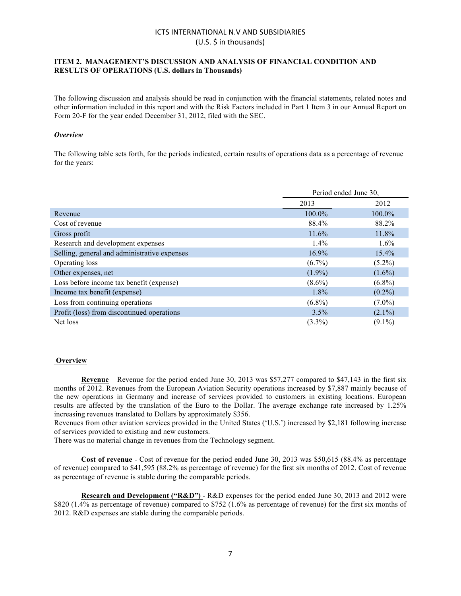# ICTS INTERNATIONAL N.V AND SUBSIDIARIES  $(U.S. \; \text{S}$  in thousands)

## **ITEM 2. MANAGEMENT'S DISCUSSION AND ANALYSIS OF FINANCIAL CONDITION AND RESULTS OF OPERATIONS (U.S. dollars in Thousands)**

The following discussion and analysis should be read in conjunction with the financial statements, related notes and other information included in this report and with the Risk Factors included in Part 1 Item 3 in our Annual Report on Form 20-F for the year ended December 31, 2012, filed with the SEC.

#### *Overview*

The following table sets forth, for the periods indicated, certain results of operations data as a percentage of revenue for the years:

|                                              |           | Period ended June 30, |  |  |
|----------------------------------------------|-----------|-----------------------|--|--|
|                                              | 2013      | 2012                  |  |  |
| Revenue                                      | 100.0%    | $100.0\%$             |  |  |
| Cost of revenue                              | 88.4%     | 88.2%                 |  |  |
| Gross profit                                 | $11.6\%$  | 11.8%                 |  |  |
| Research and development expenses            | 1.4%      | $1.6\%$               |  |  |
| Selling, general and administrative expenses | 16.9%     | $15.4\%$              |  |  |
| Operating loss                               | $(6.7\%)$ | $(5.2\%)$             |  |  |
| Other expenses, net                          | $(1.9\%)$ | $(1.6\%)$             |  |  |
| Loss before income tax benefit (expense)     | $(8.6\%)$ | $(6.8\%)$             |  |  |
| Income tax benefit (expense)                 | 1.8%      | $(0.2\%)$             |  |  |
| Loss from continuing operations              | $(6.8\%)$ | $(7.0\%)$             |  |  |
| Profit (loss) from discontinued operations   | 3.5%      | $(2.1\%)$             |  |  |
| Net loss                                     | $(3.3\%)$ | $(9.1\%)$             |  |  |

#### **Overview**

**Revenue** – Revenue for the period ended June 30, 2013 was \$57,277 compared to \$47,143 in the first six months of 2012. Revenues from the European Aviation Security operations increased by \$7,887 mainly because of the new operations in Germany and increase of services provided to customers in existing locations. European results are affected by the translation of the Euro to the Dollar. The average exchange rate increased by 1.25% increasing revenues translated to Dollars by approximately \$356.

Revenues from other aviation services provided in the United States ('U.S.') increased by \$2,181 following increase of services provided to existing and new customers.

There was no material change in revenues from the Technology segment.

**Cost of revenue** - Cost of revenue for the period ended June 30, 2013 was \$50,615 (88.4% as percentage of revenue) compared to \$41,595 (88.2% as percentage of revenue) for the first six months of 2012. Cost of revenue as percentage of revenue is stable during the comparable periods.

**Research and Development ("R&D")** - R&D expenses for the period ended June 30, 2013 and 2012 were \$820 (1.4% as percentage of revenue) compared to \$752 (1.6% as percentage of revenue) for the first six months of 2012. R&D expenses are stable during the comparable periods.